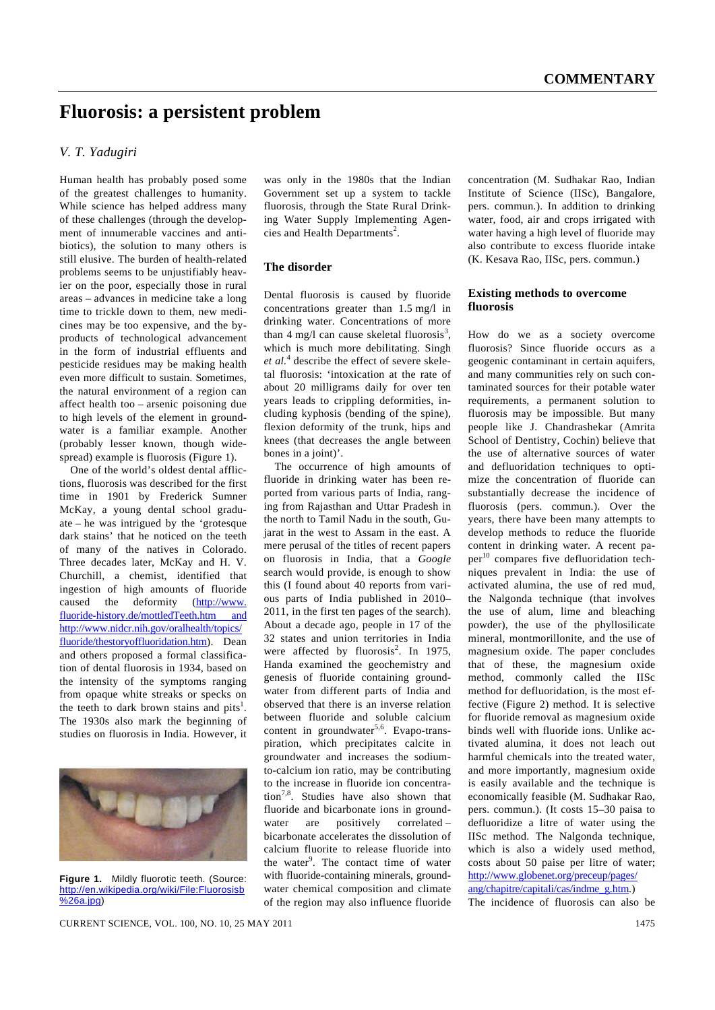# **Fluorosis: a persistent problem**

## *V. T. Yadugiri*

Human health has probably posed some of the greatest challenges to humanity. While science has helped address many of these challenges (through the development of innumerable vaccines and antibiotics), the solution to many others is still elusive. The burden of health-related problems seems to be unjustifiably heavier on the poor, especially those in rural areas – advances in medicine take a long time to trickle down to them, new medicines may be too expensive, and the byproducts of technological advancement in the form of industrial effluents and pesticide residues may be making health even more difficult to sustain. Sometimes, the natural environment of a region can affect health too – arsenic poisoning due to high levels of the element in groundwater is a familiar example. Another (probably lesser known, though widespread) example is fluorosis (Figure 1).

 One of the world's oldest dental afflictions, fluorosis was described for the first time in 1901 by Frederick Sumner McKay, a young dental school graduate – he was intrigued by the 'grotesque dark stains' that he noticed on the teeth of many of the natives in Colorado. Three decades later, McKay and H. V. Churchill, a chemist, identified that ingestion of high amounts of fluoride caused the deformity (http://www. fluoride-history.de/mottledTeeth.htm and http://www.nidcr.nih.gov/oralhealth/topics/ fluoride/thestoryoffluoridation.htm). Dean and others proposed a formal classification of dental fluorosis in 1934, based on the intensity of the symptoms ranging from opaque white streaks or specks on the teeth to dark brown stains and pits<sup>1</sup>. The 1930s also mark the beginning of studies on fluorosis in India. However, it



**Figure 1.** Mildly fluorotic teeth. (Source: http://en.wikipedia.org/wiki/File:Fluorosisb %26a.jpg)

was only in the 1980s that the Indian Government set up a system to tackle fluorosis, through the State Rural Drinking Water Supply Implementing Agencies and Health Departments<sup>2</sup>.

### **The disorder**

Dental fluorosis is caused by fluoride concentrations greater than 1.5 mg/l in drinking water. Concentrations of more than  $4 \text{ mg/l}$  can cause skeletal fluorosis<sup>3</sup>, which is much more debilitating. Singh et al.<sup>4</sup> describe the effect of severe skeletal fluorosis: 'intoxication at the rate of about 20 milligrams daily for over ten years leads to crippling deformities, including kyphosis (bending of the spine), flexion deformity of the trunk, hips and knees (that decreases the angle between bones in a joint)'.

 The occurrence of high amounts of fluoride in drinking water has been reported from various parts of India, ranging from Rajasthan and Uttar Pradesh in the north to Tamil Nadu in the south, Gujarat in the west to Assam in the east. A mere perusal of the titles of recent papers on fluorosis in India, that a *Google*  search would provide, is enough to show this (I found about 40 reports from various parts of India published in 2010– 2011, in the first ten pages of the search). About a decade ago, people in 17 of the 32 states and union territories in India were affected by fluorosis<sup>2</sup>. In 1975, Handa examined the geochemistry and genesis of fluoride containing groundwater from different parts of India and observed that there is an inverse relation between fluoride and soluble calcium content in groundwater<sup>5,6</sup>. Evapo-transpiration, which precipitates calcite in groundwater and increases the sodiumto-calcium ion ratio, may be contributing to the increase in fluoride ion concentration7,8. Studies have also shown that fluoride and bicarbonate ions in groundwater are positively correlated – bicarbonate accelerates the dissolution of calcium fluorite to release fluoride into the water<sup>9</sup>. The contact time of water with fluoride-containing minerals, groundwater chemical composition and climate of the region may also influence fluoride

concentration (M. Sudhakar Rao, Indian Institute of Science (IISc), Bangalore, pers. commun.). In addition to drinking water, food, air and crops irrigated with water having a high level of fluoride may also contribute to excess fluoride intake (K. Kesava Rao, IISc, pers. commun.)

### **Existing methods to overcome fluorosis**

How do we as a society overcome fluorosis? Since fluoride occurs as a geogenic contaminant in certain aquifers, and many communities rely on such contaminated sources for their potable water requirements, a permanent solution to fluorosis may be impossible. But many people like J. Chandrashekar (Amrita School of Dentistry, Cochin) believe that the use of alternative sources of water and defluoridation techniques to optimize the concentration of fluoride can substantially decrease the incidence of fluorosis (pers. commun.). Over the years, there have been many attempts to develop methods to reduce the fluoride content in drinking water. A recent paper $10$  compares five defluoridation techniques prevalent in India: the use of activated alumina, the use of red mud, the Nalgonda technique (that involves the use of alum, lime and bleaching powder), the use of the phyllosilicate mineral, montmorillonite, and the use of magnesium oxide. The paper concludes that of these, the magnesium oxide method, commonly called the IISc method for defluoridation, is the most effective (Figure 2) method. It is selective for fluoride removal as magnesium oxide binds well with fluoride ions. Unlike activated alumina, it does not leach out harmful chemicals into the treated water, and more importantly, magnesium oxide is easily available and the technique is economically feasible (M. Sudhakar Rao, pers. commun.). (It costs 15–30 paisa to defluoridize a litre of water using the IISc method. The Nalgonda technique, which is also a widely used method, costs about 50 paise per litre of water; http://www.globenet.org/preceup/pages/ ang/chapitre/capitali/cas/indme\_g.htm.)

The incidence of fluorosis can also be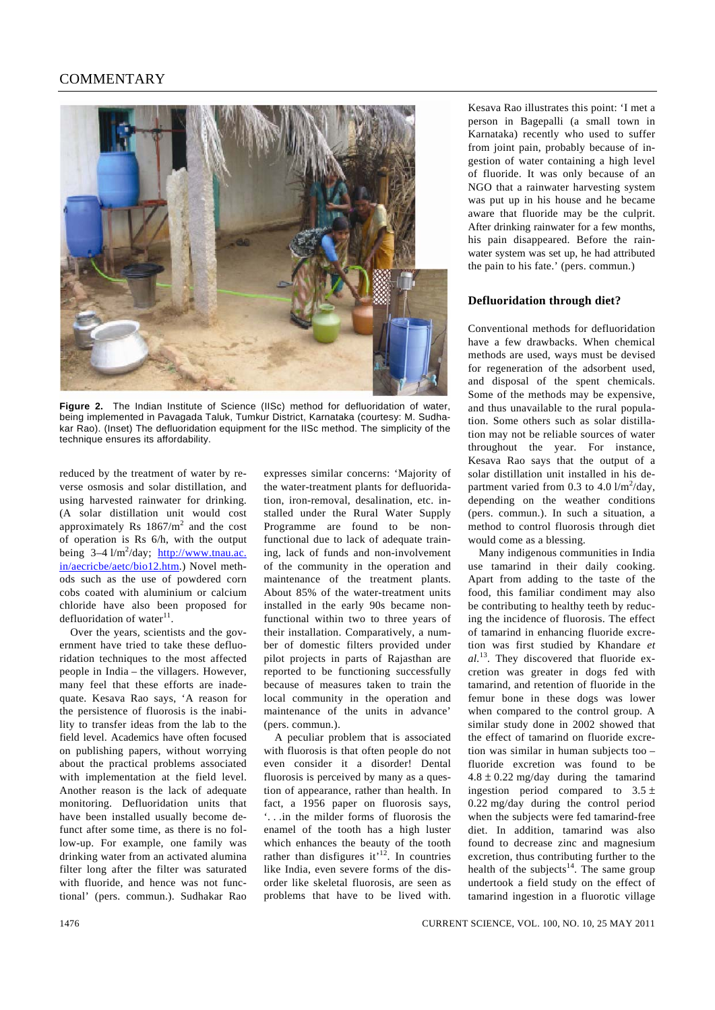## **COMMENTARY**



**Figure 2.** The Indian Institute of Science (IISc) method for defluoridation of water, being implemented in Pavagada Taluk, Tumkur District, Karnataka (courtesy: M. Sudhakar Rao). (Inset) The defluoridation equipment for the IISc method. The simplicity of the technique ensures its affordability.

reduced by the treatment of water by reverse osmosis and solar distillation, and using harvested rainwater for drinking. (A solar distillation unit would cost approximately Rs  $1867/m^2$  and the cost of operation is Rs 6/h, with the output being 3–4 l/m<sup>2</sup>/day; http://www.tnau.ac. in/aecricbe/aetc/bio12.htm.) Novel methods such as the use of powdered corn cobs coated with aluminium or calcium chloride have also been proposed for defluoridation of water $^{11}$ .

 Over the years, scientists and the government have tried to take these defluoridation techniques to the most affected people in India – the villagers. However, many feel that these efforts are inadequate. Kesava Rao says, 'A reason for the persistence of fluorosis is the inability to transfer ideas from the lab to the field level. Academics have often focused on publishing papers, without worrying about the practical problems associated with implementation at the field level. Another reason is the lack of adequate monitoring. Defluoridation units that have been installed usually become defunct after some time, as there is no follow-up. For example, one family was drinking water from an activated alumina filter long after the filter was saturated with fluoride, and hence was not functional' (pers. commun.). Sudhakar Rao

expresses similar concerns: 'Majority of the water-treatment plants for defluoridation, iron-removal, desalination, etc. installed under the Rural Water Supply Programme are found to be nonfunctional due to lack of adequate training, lack of funds and non-involvement of the community in the operation and maintenance of the treatment plants. About 85% of the water-treatment units installed in the early 90s became nonfunctional within two to three years of their installation. Comparatively, a number of domestic filters provided under pilot projects in parts of Rajasthan are reported to be functioning successfully because of measures taken to train the local community in the operation and maintenance of the units in advance' (pers. commun.).

 A peculiar problem that is associated with fluorosis is that often people do not even consider it a disorder! Dental fluorosis is perceived by many as a question of appearance, rather than health. In fact, a 1956 paper on fluorosis says, '. . .in the milder forms of fluorosis the enamel of the tooth has a high luster which enhances the beauty of the tooth rather than disfigures it<sup> $12$ </sup>. In countries like India, even severe forms of the disorder like skeletal fluorosis, are seen as problems that have to be lived with.

Kesava Rao illustrates this point: 'I met a person in Bagepalli (a small town in Karnataka) recently who used to suffer from joint pain, probably because of ingestion of water containing a high level of fluoride. It was only because of an NGO that a rainwater harvesting system was put up in his house and he became aware that fluoride may be the culprit. After drinking rainwater for a few months, his pain disappeared. Before the rainwater system was set up, he had attributed the pain to his fate.' (pers. commun.)

### **Defluoridation through diet?**

Conventional methods for defluoridation have a few drawbacks. When chemical methods are used, ways must be devised for regeneration of the adsorbent used, and disposal of the spent chemicals. Some of the methods may be expensive, and thus unavailable to the rural population. Some others such as solar distillation may not be reliable sources of water throughout the year. For instance, Kesava Rao says that the output of a solar distillation unit installed in his department varied from 0.3 to 4.0  $1/m^2$ /day, depending on the weather conditions (pers. commun.). In such a situation, a method to control fluorosis through diet would come as a blessing.

 Many indigenous communities in India use tamarind in their daily cooking. Apart from adding to the taste of the food, this familiar condiment may also be contributing to healthy teeth by reducing the incidence of fluorosis. The effect of tamarind in enhancing fluoride excretion was first studied by Khandare *et al.*13. They discovered that fluoride excretion was greater in dogs fed with tamarind, and retention of fluoride in the femur bone in these dogs was lower when compared to the control group. A similar study done in 2002 showed that the effect of tamarind on fluoride excretion was similar in human subjects too – fluoride excretion was found to be  $4.8 \pm 0.22$  mg/day during the tamarind ingestion period compared to  $3.5 \pm$ 0.22 mg/day during the control period when the subjects were fed tamarind-free diet. In addition, tamarind was also found to decrease zinc and magnesium excretion, thus contributing further to the health of the subjects $14$ . The same group undertook a field study on the effect of tamarind ingestion in a fluorotic village